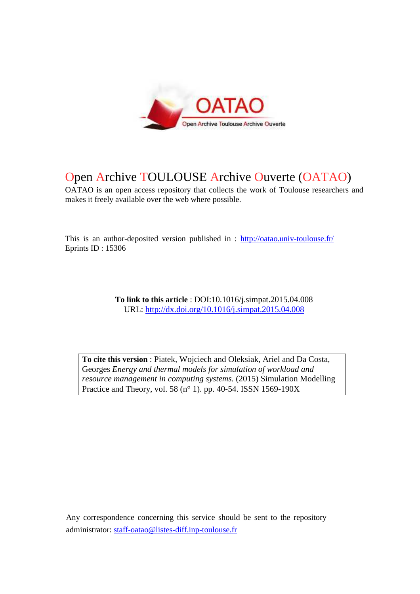

# Open Archive TOULOUSE Archive Ouverte (OATAO)

OATAO is an open access repository that collects the work of Toulouse researchers and makes it freely available over the web where possible.

This is an author-deposited version published in : http://oatao.univ-toulouse.fr/ Eprints ID : 15306

> **To link to this article** : DOI:10.1016/j.simpat.2015.04.008 URL: http://dx.doi.org/10.1016/j.simpat.2015.04.008

**To cite this version** : Piatek, Wojciech and Oleksiak, Ariel and Da Costa, Georges *Energy and thermal models for simulation of workload and resource management in computing systems.* (2015) Simulation Modelling Practice and Theory, vol. 58 (n° 1). pp. 40-54. ISSN 1569-190X

Any correspondence concerning this service should be sent to the repository administrator: staff-oatao@listes-diff.inp-toulouse.fr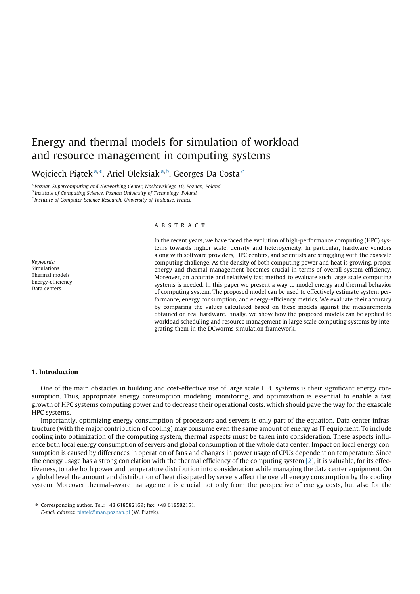## Energy and thermal models for simulation of workload and resource management in computing systems

Wojciech Piątek<sup>a,\*</sup>, Ariel Oleksiak<sup>a,b</sup>, Georges Da Costa<sup>c</sup>

a *Poznan Supercomputing and Networking Center, Noskowskiego 10, Poznan, Poland*

b *Institute of Computing Science, Poznan University of Technology, Poland*

c *Institute of Computer Science Research, University of Toulouse, France*

#### *Keywords:* Simulations Thermal models Energy-efficiency Data centers

#### A B S T R A C T

In the recent years, we have faced the evolution of high-performance computing (HPC) systems towards higher scale, density and heterogeneity. In particular, hardware vendors along with software providers, HPC centers, and scientists are struggling with the exascale computing challenge. As the density of both computing power and heat is growing, proper energy and thermal management becomes crucial in terms of overall system efficiency. Moreover, an accurate and relatively fast method to evaluate such large scale computing systems is needed. In this paper we present a way to model energy and thermal behavior of computing system. The proposed model can be used to effectively estimate system performance, energy consumption, and energy-efficiency metrics. We evaluate their accuracy by comparing the values calculated based on these models against the measurements obtained on real hardware. Finally, we show how the proposed models can be applied to workload scheduling and resource management in large scale computing systems by integrating them in the DCworms simulation framework.

#### 1. Introduction

One of the main obstacles in building and cost-effective use of large scale HPC systems is their significant energy consumption. Thus, appropriate energy consumption modeling, monitoring, and optimization is essential to enable a fast growth of HPC systems computing power and to decrease their operational costs, which should pave the way for the exascale HPC systems.

Importantly, optimizing energy consumption of processors and servers is only part of the equation. Data center infrastructure (with the major contribution of cooling) may consume even the same amount of energy as IT equipment. To include cooling into optimization of the computing system, thermal aspects must be taken into consideration. These aspects influence both local energy consumption of servers and global consumption of the whole data center. Impact on local energy consumption is caused by differences in operation of fans and changes in power usage of CPUs dependent on temperature. Since the energy usage has a strong correlation with the thermal efficiency of the computing system [2], it is valuable, for its effectiveness, to take both power and temperature distribution into consideration while managing the data center equipment. On a global level the amount and distribution of heat dissipated by servers affect the overall energy consumption by the cooling system. Moreover thermal-aware management is crucial not only from the perspective of energy costs, but also for the

<sup>⇑</sup> Corresponding author. Tel.: +48 618582169; fax: +48 618582151. *E-mail address: piatek@man.poznan.pl (W. Piatek).*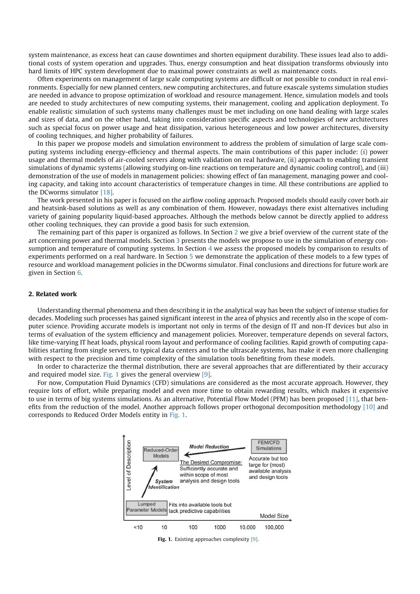system maintenance, as excess heat can cause downtimes and shorten equipment durability. These issues lead also to additional costs of system operation and upgrades. Thus, energy consumption and heat dissipation transforms obviously into hard limits of HPC system development due to maximal power constraints as well as maintenance costs.

Often experiments on management of large scale computing systems are difficult or not possible to conduct in real environments. Especially for new planned centers, new computing architectures, and future exascale systems simulation studies are needed in advance to propose optimization of workload and resource management. Hence, simulation models and tools are needed to study architectures of new computing systems, their management, cooling and application deployment. To enable realistic simulation of such systems many challenges must be met including on one hand dealing with large scales and sizes of data, and on the other hand, taking into consideration specific aspects and technologies of new architectures such as special focus on power usage and heat dissipation, various heterogeneous and low power architectures, diversity of cooling techniques, and higher probability of failures.

In this paper we propose models and simulation environment to address the problem of simulation of large scale computing systems including energy-efficiency and thermal aspects. The main contributions of this paper include: (i) power usage and thermal models of air-cooled servers along with validation on real hardware, (ii) approach to enabling transient simulations of dynamic systems (allowing studying on-line reactions on temperature and dynamic cooling control), and (iii) demonstration of the use of models in management policies: showing effect of fan management, managing power and cooling capacity, and taking into account characteristics of temperature changes in time. All these contributions are applied to the DCworms simulator [18].

The work presented in his paper is focused on the airflow cooling approach. Proposed models should easily cover both air and heatsink-based solutions as well as any combination of them. However, nowadays there exist alternatives including variety of gaining popularity liquid-based approaches. Although the methods below cannot be directly applied to address other cooling techniques, they can provide a good basis for such extension.

The remaining part of this paper is organized as follows. In Section 2 we give a brief overview of the current state of the art concerning power and thermal models. Section 3 presents the models we propose to use in the simulation of energy consumption and temperature of computing systems. In Section 4 we assess the proposed models by comparison to results of experiments performed on a real hardware. In Section 5 we demonstrate the application of these models to a few types of resource and workload management policies in the DCworms simulator. Final conclusions and directions for future work are given in Section 6.

#### 2. Related work

Understanding thermal phenomena and then describing it in the analytical way has been the subject of intense studies for decades. Modeling such processes has gained significant interest in the area of physics and recently also in the scope of computer science. Providing accurate models is important not only in terms of the design of IT and non-IT devices but also in terms of evaluation of the system efficiency and management policies. Moreover, temperature depends on several factors, like time-varying IT heat loads, physical room layout and performance of cooling facilities. Rapid growth of computing capabilities starting from single servers, to typical data centers and to the ultrascale systems, has make it even more challenging with respect to the precision and time complexity of the simulation tools benefiting from these models.

In order to characterize the thermal distribution, there are several approaches that are differentiated by their accuracy and required model size. Fig. 1 gives the general overview  $[9]$ .

For now, Computation Fluid Dynamics (CFD) simulations are considered as the most accurate approach. However, they require lots of effort, while preparing model and even more time to obtain rewarding results, which makes it expensive to use in terms of big systems simulations. As an alternative, Potential Flow Model (PFM) has been proposed [11], that benefits from the reduction of the model. Another approach follows proper orthogonal decomposition methodology [10] and corresponds to Reduced Order Models entity in Fig. 1.



Fig. 1. Existing approaches complexity [9].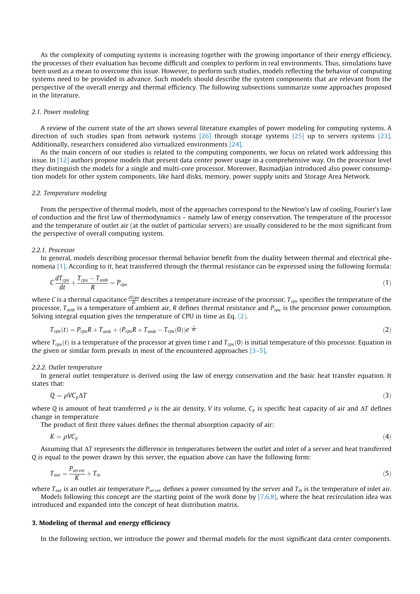As the complexity of computing systems is increasing together with the growing importance of their energy efficiency, the processes of their evaluation has become difficult and complex to perform in real environments. Thus, simulations have been used as a mean to overcome this issue. However, to perform such studies, models reflecting the behavior of computing systems need to be provided in advance. Such models should describe the system components that are relevant from the perspective of the overall energy and thermal efficiency. The following subsections summarize some approaches proposed in the literature.

## *2.1. Power modeling*

A review of the current state of the art shows several literature examples of power modeling for computing systems. A direction of such studies span from network systems [26] through storage systems [25] up to servers systems [23]. Additionally, researchers considered also virtualized environments [24].

As the main concern of our studies is related to the computing components, we focus on related work addressing this issue. In [12] authors propose models that present data center power usage in a comprehensive way. On the processor level they distinguish the models for a single and multi-core processor. Moreover, Basmadjian introduced also power consumption models for other system components, like hard disks, memory, power supply units and Storage Area Network.

#### *2.2. Temperature modeling*

From the perspective of thermal models, most of the approaches correspond to the Newton's law of cooling, Fourier's law of conduction and the first law of thermodynamics – namely law of energy conservation. The temperature of the processor and the temperature of outlet air (at the outlet of particular servers) are usually considered to be the most significant from the perspective of overall computing system.

### *2.2.1. Processor*

In general, models describing processor thermal behavior benefit from the duality between thermal and electrical phenomena [1]. According to it, heat transferred through the thermal resistance can be expressed using the following formula:

$$
C\frac{dT_{cpu}}{dt} + \frac{T_{cpu} - T_{amb}}{R} = P_{cpu} \tag{1}
$$

where C is a thermal capacitance  $\frac{dTcpu}{dt}$  describes a temperature increase of the processor,  $T_{cpu}$  specifies the temperature of the processor, *Tamb* is a temperature of ambient air, *R* defines thermal resistance and *Pcpu* is the processor power consumption. Solving integral equation gives the temperature of CPU in time as Eq. (2).

$$
T_{cpu}(t) = P_{cpu}R + T_{amb} + (P_{cpu}R + T_{amb} - T_{cpu}(0))e^{-\frac{t}{RC}}
$$
\n(2)

where  $T_{cpu}(t)$  is a temperature of the processor at given time *t* and  $T_{cpu}(0)$  is initial temperature of this processor. Equation in the given or similar form prevails in most of the encountered approaches [3–5].

#### *2.2.2. Outlet temperature*

In general outlet temperature is derived using the law of energy conservation and the basic heat transfer equation. It states that:

$$
Q = \rho V C_p \Delta T \tag{3}
$$

where *Q* is amount of heat transferred  $\rho$  is the air density, *V* its volume,  $C_p$  is specific heat capacity of air and  $\Delta T$  defines change in temperature

The product of first three values defines the thermal absorption capacity of air:

$$
K = \rho V C_p \tag{4}
$$

Assuming that  $\Delta T$  represents the difference in temperatures between the outlet and inlet of a server and heat transferred *Q* is equal to the power drawn by this server, the equation above can have the following form:

$$
T_{out} = \frac{P_{server}}{K} + T_{in} \tag{5}
$$

where *Tout* is an outlet air temperature *Pser*v*er* defines a power consumed by the server and *Tin* is the temperature of inlet air. Models following this concept are the starting point of the work done by  $[7,6,8]$ , where the heat recirculation idea was introduced and expanded into the concept of heat distribution matrix.

#### 3. Modeling of thermal and energy efficiency

In the following section, we introduce the power and thermal models for the most significant data center components.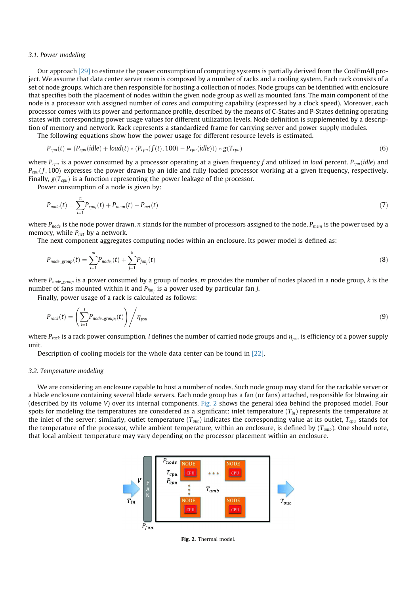#### *3.1. Power modeling*

Our approach [29] to estimate the power consumption of computing systems is partially derived from the CoolEmAll project. We assume that data center server room is composed by a number of racks and a cooling system. Each rack consists of a set of node groups, which are then responsible for hosting a collection of nodes. Node groups can be identified with enclosure that specifies both the placement of nodes within the given node group as well as mounted fans. The main component of the node is a processor with assigned number of cores and computing capability (expressed by a clock speed). Moreover, each processor comes with its power and performance profile, described by the means of C-States and P-States defining operating states with corresponding power usage values for different utilization levels. Node definition is supplemented by a description of memory and network. Rack represents a standardized frame for carrying server and power supply modules.

The following equations show how the power usage for different resource levels is estimated.

$$
P_{cpu}(t) = (P_{cpu}(idle) + load(t) * (P_{cpu}(f(t), 100) - P_{cpu}(idle))) * g(T_{cpu})
$$
\n(6)

where  $P_{cpu}$  is a power consumed by a processor operating at a given frequency f and utilized in *load* percent.  $P_{cpu}(idle)$  and  $P_{cpu}(f, 100)$  expresses the power drawn by an idle and fully loaded processor working at a given frequency, respectively. Finally,  $g(T_{cpu})$  is a function representing the power leakage of the processor.

Power consumption of a node is given by:

$$
P_{node}(t) = \sum_{i=1}^{n} P_{cpu_i}(t) + P_{mem}(t) + P_{net}(t)
$$
\n(7)

where *Pnode* is the node power drawn, *n* stands for the number of processors assigned to the node, *Pmem* is the power used by a memory, while *Pnet* by a network.

The next component aggregates computing nodes within an enclosure. Its power model is defined as:

$$
P_{node\_group}(t) = \sum_{i=1}^{m} P_{node_i}(t) + \sum_{j=1}^{k} P_{fan_j}(t)
$$
\n(8)

where *Pnode group* is a power consumed by a group of nodes, *m* provides the number of nodes placed in a node group, *k* is the number of fans mounted within it and *Pfan<sup>j</sup>* is a power used by particular fan *j*.

Finally, power usage of a rack is calculated as follows:

$$
P_{\text{rock}}(t) = \left(\sum_{i=1}^{l} P_{\text{node\_group}_i}(t)\right) / \eta_{\text{psu}}
$$
\n(9)

where  $P_{\text{rack}}$  is a rack power consumption, *l* defines the number of carried node groups and  $\eta_{\text{nsu}}$  is efficiency of a power supply unit.

Description of cooling models for the whole data center can be found in [22].

#### *3.2. Temperature modeling*

We are considering an enclosure capable to host a number of nodes. Such node group may stand for the rackable server or a blade enclosure containing several blade servers. Each node group has a fan (or fans) attached, responsible for blowing air (described by its volume *V*) over its internal components. Fig. 2 shows the general idea behind the proposed model. Four spots for modeling the temperatures are considered as a significant: inlet temperature  $(T_{in})$  represents the temperature at the inlet of the server; similarly, outlet temperature  $(T_{out})$  indicates the corresponding value at its outlet,  $T_{cpu}$  stands for the temperature of the processor, while ambient temperature, within an enclosure, is defined by (*Tamb*). One should note, that local ambient temperature may vary depending on the processor placement within an enclosure.



Fig. 2. Thermal model.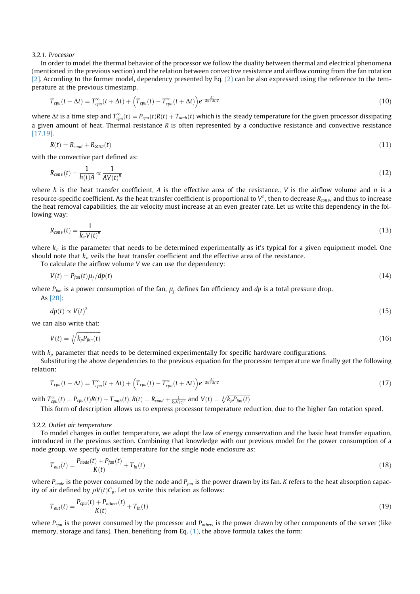#### *3.2.1. Processor*

In order to model the thermal behavior of the processor we follow the duality between thermal and electrical phenomena (mentioned in the previous section) and the relation between convective resistance and airflow coming from the fan rotation [2]. According to the former model, dependency presented by Eq. (2) can be also expressed using the reference to the temperature at the previous timestamp.

$$
T_{cpu}(t + \Delta t) = T_{cpu}^{\infty}(t + \Delta t) + \left(T_{cpu}(t) - T_{cpu}^{\infty}(t + \Delta t)\right)e^{-\frac{\Delta t}{R(t + \Delta t)^{c}}}
$$
\n(10)

where  $\Delta t$  is a time step and  $T_{cpu}^\infty(t)=P_{cpu}(t)R(t)+T_{amb}(t)$  which is the steady temperature for the given processor dissipating a given amount of heat. Thermal resistance *R* is often represented by a conductive resistance and convective resistance [17,19].

$$
R(t) = R_{cond} + R_{conv}(t) \tag{11}
$$

with the convective part defined as:

$$
R_{conv}(t) = \frac{1}{h(t)A} \propto \frac{1}{AV(t)^n}
$$
\n(12)

where *h* is the heat transfer coefficient, *A* is the effective area of the resistance., *V* is the airflow volume and *n* is a resource-specific coefficient. As the heat transfer coefficient is proportional to V<sup>n</sup>, then to decrease R<sub>conv</sub>, and thus to increase the heat removal capabilities, the air velocity must increase at an even greater rate. Let us write this dependency in the following way:

$$
R_{conv}(t) = \frac{1}{k_v V(t)^n} \tag{13}
$$

where  $k<sub>v</sub>$  is the parameter that needs to be determined experimentally as it's typical for a given equipment model. One should note that  $k_{\nu}$  veils the heat transfer coefficient and the effective area of the resistance.

To calculate the airflow volume *V* we can use the dependency:

$$
V(t) = P_{fan}(t)\mu_f/dp(t) \tag{14}
$$

where  $P_{fan}$  is a power consumption of the fan,  $\mu_f$  defines fan efficiency and dp is a total pressure drop. As [20]:

$$
dp(t) \propto V(t)^2 \tag{15}
$$

we can also write that:

$$
V(t) = \sqrt[3]{k_p P_{fan}(t)}\tag{16}
$$

with  $k_p$  parameter that needs to be determined experimentally for specific hardware configurations.

Substituting the above dependencies to the previous equation for the processor temperature we finally get the following relation:

$$
T_{cpu}(t + \Delta t) = T_{cpu}^{\infty}(t + \Delta t) + \left(T_{cpu}(t) - T_{cpu}^{\infty}(t + \Delta t)\right)e^{-\frac{\Delta t}{R(t + \Delta t)C}}
$$
\n(17)

with  $T_{cpu}^{\infty}(t) = P_{cpu}(t)R(t) + T_{amb}(t), R(t) = R_{cond} + \frac{1}{k_n V(t)^n}$  and  $V(t) = \sqrt[3]{k_p P_{fan}(t)}$ 

This form of description allows us to express processor temperature reduction, due to the higher fan rotation speed.

#### *3.2.2. Outlet air temperature*

To model changes in outlet temperature, we adopt the law of energy conservation and the basic heat transfer equation, introduced in the previous section. Combining that knowledge with our previous model for the power consumption of a node group, we specify outlet temperature for the single node enclosure as:

$$
T_{out}(t) = \frac{P_{node}(t) + P_{fan}(t)}{K(t)} + T_{in}(t)
$$
\n(18)

where *Pnode* is the power consumed by the node and *Pfan* is the power drawn by its fan. *K* refers to the heat absorption capacity of air defined by  $\rho V(t)C_p$ . Let us write this relation as follows:

$$
T_{out}(t) = \frac{P_{cpu}(t) + P_{others}(t)}{K(t)} + T_{in}(t)
$$
\n(19)

where *Pcpu* is the power consumed by the processor and *Pothers* is the power drawn by other components of the server (like memory, storage and fans). Then, benefiting from Eq. (1), the above formula takes the form: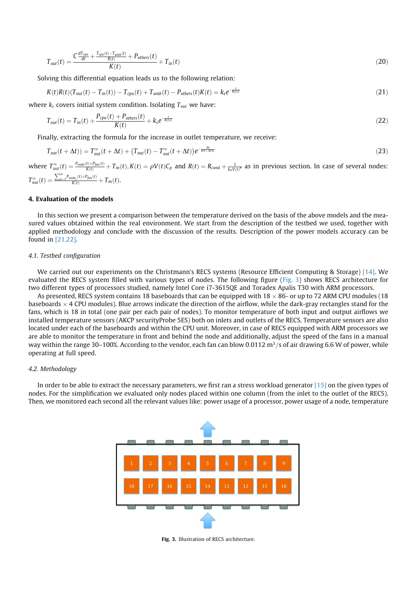$$
T_{out}(t) = \frac{C \frac{dT_{cpu}}{dt} + \frac{T_{cpu}(t) - T_{amb}(t)}{R(t)} + P_{others}(t)}{K(t)} + T_{in}(t)
$$
\n(20)

Solving this differential equation leads us to the following relation:

$$
K(t)R(t)(T_{out}(t) - T_{in}(t)) - T_{cpu}(t) + T_{amb}(t) - P_{others}(t)K(t) = k_s e^{-\frac{t}{R(t)\zeta}}
$$
\n
$$
(21)
$$

where  $k_s$  covers initial system condition. Isolating  $T_{out}$  we have:

$$
T_{out}(t) = T_{in}(t) + \frac{P_{cpu}(t) + P_{others}(t)}{K(t)} + k_s e^{-\frac{t}{R(t)C}}
$$
\n(22)

Finally, extracting the formula for the increase in outlet temperature, we receive:

$$
T_{out}(t + \Delta t)) = T_{out}^{\infty}(t + \Delta t) + (T_{out}(t) - T_{out}^{\infty}(t + \Delta t))e^{-\frac{\Delta t}{R(t + \Delta t)C}}
$$
\n(23)

where  $T_{out}^{\infty}(t) = \frac{P_{node}(t) + P_{fan}(t)}{K(t)} + T_{in}(t)$ ,  $K(t) = \rho V(t)C_p$  and  $R(t) = R_{cond} + \frac{1}{k_n V(t)^n}$  as in previous section. In case of several nodes:  $T_{out}^{\infty}(t) = \frac{\sum_{i=1}^{n} P_{node_i}(t) + P_{fan}(t)}{K(t)} + T_{in}(t)$ .

## 4. Evaluation of the models

In this section we present a comparison between the temperature derived on the basis of the above models and the measured values obtained within the real environment. We start from the description of the testbed we used, together with applied methodology and conclude with the discussion of the results. Description of the power models accuracy can be found in [21,22].

### *4.1. Testbed configuration*

We carried out our experiments on the Christmann's RECS systems (Resource Efficient Computing & Storage) [14]. We evaluated the RECS system filled with various types of nodes. The following figure (Fig. 3) shows RECS architecture for two different types of processors studied, namely Intel Core i7-3615QE and Toradex Apalis T30 with ARM processors.

As presented, RECS system contains 18 baseboards that can be equipped with 18  $\times$  86- or up to 72 ARM CPU modules (18 baseboards  $\times$  4 CPU modules). Blue arrows indicate the direction of the airflow, while the dark-gray rectangles stand for the fans, which is 18 in total (one pair per each pair of nodes). To monitor temperature of both input and output airflows we installed temperature sensors (AKCP securityProbe 5ES) both on inlets and outlets of the RECS. Temperature sensors are also located under each of the baseboards and within the CPU unit. Moreover, in case of RECS equipped with ARM processors we are able to monitor the temperature in front and behind the node and additionally, adjust the speed of the fans in a manual way within the range 30–100%. According to the vendor, each fan can blow 0.0112 m<sup>3</sup>/s of air drawing 6.6 W of power, while operating at full speed.

## *4.2. Methodology*

In order to be able to extract the necessary parameters, we first ran a stress workload generator [15] on the given types of nodes. For the simplification we evaluated only nodes placed within one column (from the inlet to the outlet of the RECS). Then, we monitored each second all the relevant values like: power usage of a processor, power usage of a node, temperature



Fig. 3. Illustration of RECS architecture.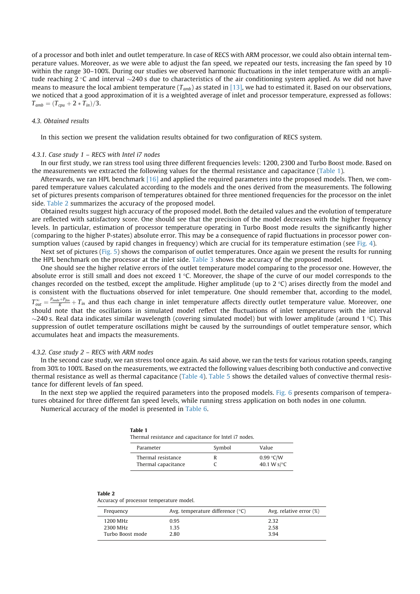of a processor and both inlet and outlet temperature. In case of RECS with ARM processor, we could also obtain internal temperature values. Moreover, as we were able to adjust the fan speed, we repeated our tests, increasing the fan speed by 10 within the range 30–100%. During our studies we observed harmonic fluctuations in the inlet temperature with an amplitude reaching  $2^{\circ}$ C and interval  $\sim$ 240 s due to characteristics of the air conditioning system applied. As we did not have means to measure the local ambient temperature (*Tamb*) as stated in [13], we had to estimated it. Based on our observations, we noticed that a good approximation of it is a weighted average of inlet and processor temperature, expressed as follows:  $T_{amb} = (T_{cpu} + 2 * T_{in})/3.$ 

## *4.3. Obtained results*

In this section we present the validation results obtained for two configuration of RECS system.

#### *4.3.1. Case study 1 – RECS with Intel i7 nodes*

In our first study, we ran stress tool using three different frequencies levels: 1200, 2300 and Turbo Boost mode. Based on the measurements we extracted the following values for the thermal resistance and capacitance (Table 1).

Afterwards, we ran HPL benchmark [16] and applied the required parameters into the proposed models. Then, we compared temperature values calculated according to the models and the ones derived from the measurements. The following set of pictures presents comparison of temperatures obtained for three mentioned frequencies for the processor on the inlet side. Table 2 summarizes the accuracy of the proposed model.

Obtained results suggest high accuracy of the proposed model. Both the detailed values and the evolution of temperature are reflected with satisfactory score. One should see that the precision of the model decreases with the higher frequency levels. In particular, estimation of processor temperature operating in Turbo Boost mode results the significantly higher (comparing to the higher P-states) absolute error. This may be a consequence of rapid fluctuations in processor power consumption values (caused by rapid changes in frequency) which are crucial for its temperature estimation (see Fig. 4).

Next set of pictures (Fig. 5) shows the comparison of outlet temperatures. Once again we present the results for running the HPL benchmark on the processor at the inlet side. Table 3 shows the accuracy of the proposed model.

One should see the higher relative errors of the outlet temperature model comparing to the processor one. However, the absolute error is still small and does not exceed  $1 \degree C$ . Moreover, the shape of the curve of our model corresponds to the changes recorded on the testbed, except the amplitude. Higher amplitude (up to 2 °C) arises directly from the model and is consistent with the fluctuations observed for inlet temperature. One should remember that, according to the model,  $T_{out}^{\infty}=\frac{P_{node}+P_{fun}}{K}+T_{in}$  and thus each change in inlet temperature affects directly outlet temperature value. Moreover, one should note that the oscillations in simulated model reflect the fluctuations of inlet temperatures with the interval  $\sim$ 240 s. Real data indicates similar wavelength (covering simulated model) but with lower amplitude (around 1 °C). This suppression of outlet temperature oscillations might be caused by the surroundings of outlet temperature sensor, which accumulates heat and impacts the measurements.

#### *4.3.2. Case study 2 – RECS with ARM nodes*

In the second case study, we ran stress tool once again. As said above, we ran the tests for various rotation speeds, ranging from 30% to 100%. Based on the measurements, we extracted the following values describing both conductive and convective thermal resistance as well as thermal capacitance (Table 4). Table 5 shows the detailed values of convective thermal resistance for different levels of fan speed.

In the next step we applied the required parameters into the proposed models. Fig. 6 presents comparison of temperatures obtained for three different fan speed levels, while running stress application on both nodes in one column.

Numerical accuracy of the model is presented in Table 6.

| Table 1<br>Thermal resistance and capacitance for Intel i7 nodes. |        |                                    |
|-------------------------------------------------------------------|--------|------------------------------------|
| Parameter                                                         | Symbol | Value                              |
| Thermal resistance<br>Thermal capacitance                         | R      | 0.99 °C/W<br>40.1 W s/ $\degree$ C |

| ranie<br>ı<br>. .<br>$\sim$ |  |
|-----------------------------|--|
|                             |  |

Accuracy of processor temperature model.

| Frequency        | Avg. temperature difference $(°C)$ | Avg. relative error $(\%)$ |
|------------------|------------------------------------|----------------------------|
| 1200 MHz         | 0.95                               | 2.32                       |
| 2300 MHz         | 1.35                               | 2.58                       |
| Turbo Boost mode | 2.80                               | 3.94                       |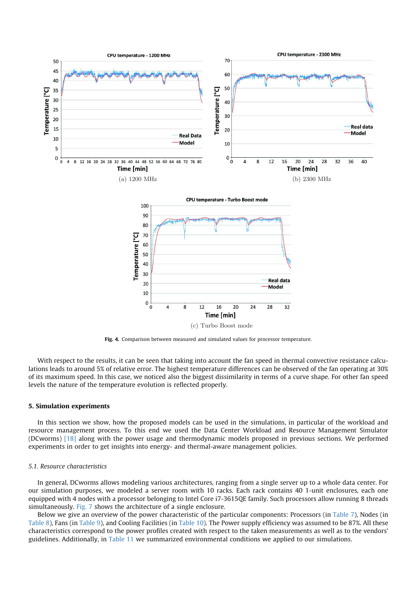

Fig. 4. Comparison between measured and simulated values for processor temperature.

With respect to the results, it can be seen that taking into account the fan speed in thermal convective resistance calculations leads to around 5% of relative error. The highest temperature differences can be observed of the fan operating at 30% of its maximum speed. In this case, we noticed also the biggest dissimilarity in terms of a curve shape. For other fan speed levels the nature of the temperature evolution is reflected properly.

## 5. Simulation experiments

In this section we show, how the proposed models can be used in the simulations, in particular of the workload and resource management process. To this end we used the Data Center Workload and Resource Management Simulator (DCworms) [18] along with the power usage and thermodynamic models proposed in previous sections. We performed experiments in order to get insights into energy- and thermal-aware management policies.

## *5.1. Resource characteristics*

In general, DCworms allows modeling various architectures, ranging from a single server up to a whole data center. For our simulation purposes, we modeled a server room with 10 racks. Each rack contains 40 1-unit enclosures, each one equipped with 4 nodes with a processor belonging to Intel Core i7-3615QE family. Such processors allow running 8 threads simultaneously. Fig. 7 shows the architecture of a single enclosure.

Below we give an overview of the power characteristic of the particular components: Processors (in Table 7), Nodes (in Table 8), Fans (in Table 9), and Cooling Facilities (in Table 10). The Power supply efficiency was assumed to be 87%. All these characteristics correspond to the power profiles created with respect to the taken measurements as well as to the vendors' guidelines. Additionally, in Table 11 we summarized environmental conditions we applied to our simulations.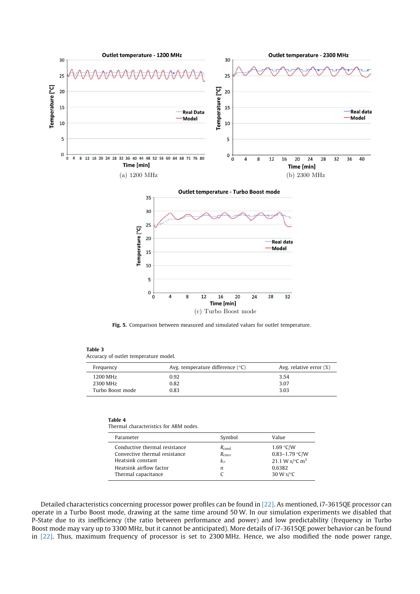

Fig. 5. Comparison between measured and simulated values for outlet temperature.

#### Table 3

Accuracy of outlet temperature model.

| Frequency        | Avg. temperature difference $(°C)$ | Avg. relative error $(\%)$ |
|------------------|------------------------------------|----------------------------|
| 1200 MHz         | 0.92                               | 3.54                       |
| 2300 MHz         | 0.82                               | 3.07                       |
| Turbo Boost mode | 0.83                               | 3.03                       |

#### Table 4

Thermal characteristics for ARM nodes.

| Parameter                                                                                                                             | Symbol                                            | Value                                                                                                     |
|---------------------------------------------------------------------------------------------------------------------------------------|---------------------------------------------------|-----------------------------------------------------------------------------------------------------------|
| Conductive thermal resistance<br>Convective thermal resistance<br>Heatsink constant<br>Heatsink airflow factor<br>Thermal capacitance | $R_{cond}$<br>$R_{\text{conv}}$<br>$k_{\nu}$<br>n | 1.69 °C/W<br>0.83-1.79 °C/W<br>21.1 W s/ $\rm ^{\circ}$ C m <sup>3</sup><br>0.6382<br>30 W s/ $\degree$ C |

Detailed characteristics concerning processor power profiles can be found in [22]. As mentioned, i7-3615QE processor can operate in a Turbo Boost mode, drawing at the same time around 50 W. In our simulation experiments we disabled that P-State due to its inefficiency (the ratio between performance and power) and low predictability (frequency in Turbo Boost mode may vary up to 3300 MHz, but it cannot be anticipated). More details of i7-3615QE power behavior can be found in [22]. Thus, maximum frequency of processor is set to 2300 MHz. Hence, we also modified the node power range,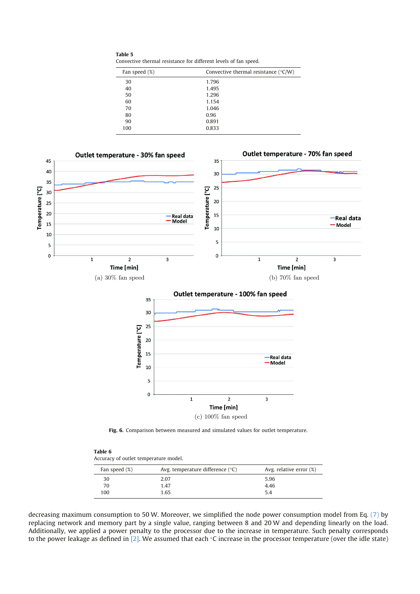Table 5 Convective thermal resistance for different levels of fan speed.

| Fan speed (%) | Convective thermal resistance ( $\degree$ C/W) |
|---------------|------------------------------------------------|
| 30            | 1.796                                          |
| 40            | 1.495                                          |
| 50            | 1.296                                          |
| 60            | 1.154                                          |
| 70            | 1.046                                          |
| 80            | 0.96                                           |
| 90            | 0.891                                          |
| 100           | 0.833                                          |



Fig. 6. Comparison between measured and simulated values for outlet temperature.

| Table 6 |                                       |  |
|---------|---------------------------------------|--|
|         | Accuracy of outlet temperature model. |  |

| Fan speed (%) | Avg. temperature difference $(°C)$ | Avg. relative error $(\%)$ |
|---------------|------------------------------------|----------------------------|
| 30            | 2.07                               | 5.96                       |
| 70            | 1.47                               | 4.46                       |
| 100           | 1.65                               | 5.4                        |

decreasing maximum consumption to 50 W. Moreover, we simplified the node power consumption model from Eq. (7) by replacing network and memory part by a single value, ranging between 8 and 20 W and depending linearly on the load. Additionally, we applied a power penalty to the processor due to the increase in temperature. Such penalty corresponds to the power leakage as defined in [2]. We assumed that each  $\degree$ C increase in the processor temperature (over the idle state)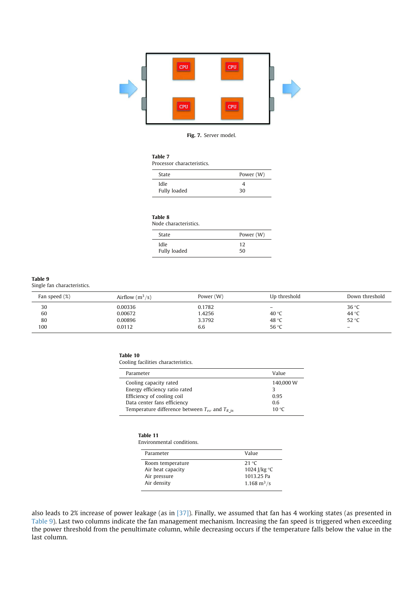

### Fig. 7. Server model.

## Table 7

Processor characteristics.

| State        | Power (W) |
|--------------|-----------|
| Idle         | 4         |
| Fully loaded | 30        |

#### Table 8

Node characteristics. State Power (W)

| <b>Deale</b> | $1$ OVVCI (VV) |
|--------------|----------------|
| Idle         | 12             |
| Fully loaded | 50             |

#### Table 9

Single fan characteristics.

| Fan speed (%) | Airflow $(m^3/s)$ | Power (W) | Up threshold             | Down threshold           |
|---------------|-------------------|-----------|--------------------------|--------------------------|
| 30            | 0.00336           | 0.1782    | $\overline{\phantom{a}}$ | 36 °C                    |
| 60            | 0.00672           | 1.4256    | 40 $\degree$ C           | 44 °C                    |
| 80            | 0.00896           | 3.3792    | 48 °C                    | 52 °C                    |
| 100           | 0.0112            | 6.6       | 56 °C                    | $\overline{\phantom{0}}$ |

#### Table 10

 $\overline{a}$ 

Cooling facilities characteristics.

| Parameter                                              | Value          |
|--------------------------------------------------------|----------------|
| Cooling capacity rated                                 | 140,000 W      |
| Energy efficiency ratio rated                          | 3              |
| Efficiency of cooling coil                             | 0.95           |
| Data center fans efficiency                            | 0.6            |
| Temperature difference between $T_{ev}$ and $T_{R}$ in | 10 $\degree$ C |

## Table 11

Environmental conditions.

| Parameter         | Value                        |
|-------------------|------------------------------|
| Room temperature  | 21 $\degree$ C               |
| Air heat capacity | 1024 J/kg $\degree$ C        |
| Air pressure      | 1013.25 Pa                   |
| Air density       | $1.168 \text{ m}^3/\text{s}$ |

also leads to 2% increase of power leakage (as in [37]). Finally, we assumed that fan has 4 working states (as presented in Table 9). Last two columns indicate the fan management mechanism. Increasing the fan speed is triggered when exceeding the power threshold from the penultimate column, while decreasing occurs if the temperature falls below the value in the last column.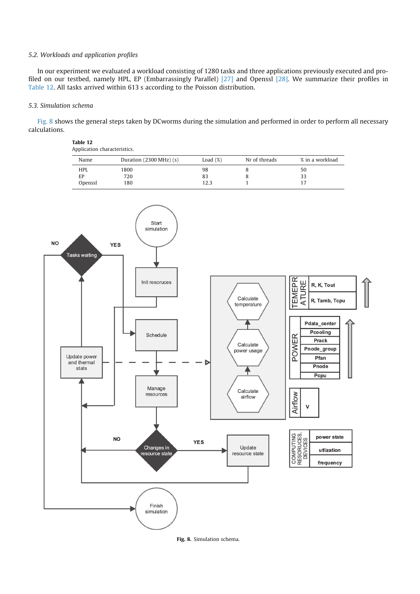## *5.2. Workloads and application profiles*

Table 12

In our experiment we evaluated a workload consisting of 1280 tasks and three applications previously executed and profiled on our testbed, namely HPL, EP (Embarrassingly Parallel) [27] and Openssl [28]. We summarize their profiles in Table 12. All tasks arrived within 613 s according to the Poisson distribution.

## *5.3. Simulation schema*

Fig. 8 shows the general steps taken by DCworms during the simulation and performed in order to perform all necessary calculations.

| Application characteristics. |                                     |             |               |                 |  |  |
|------------------------------|-------------------------------------|-------------|---------------|-----------------|--|--|
| Name                         | Duration $(2300 \text{ MHz})$ $(s)$ | Load $(\%)$ | Nr of threads | % in a workload |  |  |
| <b>HPL</b>                   | 1800                                | 98          |               | 50              |  |  |
| ЕP                           | 720                                 | 83          |               | 33              |  |  |
| Openssl                      | 180                                 | 12.3        |               |                 |  |  |



Fig. 8. Simulation schema.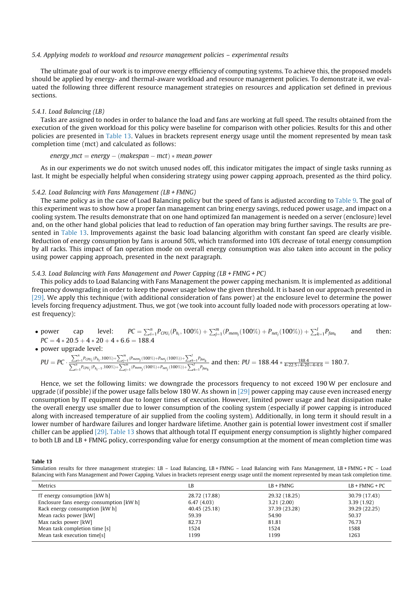#### *5.4. Applying models to workload and resource management policies – experimental results*

The ultimate goal of our work is to improve energy efficiency of computing systems. To achieve this, the proposed models should be applied by energy- and thermal-aware workload and resource management policies. To demonstrate it, we evaluated the following three different resource management strategies on resources and application set defined in previous sections.

#### *5.4.1. Load Balancing (LB)*

Tasks are assigned to nodes in order to balance the load and fans are working at full speed. The results obtained from the execution of the given workload for this policy were baseline for comparison with other policies. Results for this and other policies are presented in Table 13. Values in brackets represent energy usage until the moment represented by mean task completion time (mct) and calculated as follows:

#### *energy\_mct* = *energy* – (makespan – mct)  $*$  *mean\_power*

As in our experiments we do not switch unused nodes off, this indicator mitigates the impact of single tasks running as last. It might be especially helpful when considering strategy using power capping approach, presented as the third policy.

#### *5.4.2. Load Balancing with Fans Management (LB + FMNG)*

The same policy as in the case of Load Balancing policy but the speed of fans is adjusted according to Table 9. The goal of this experiment was to show how a proper fan management can bring energy savings, reduced power usage, and impact on a cooling system. The results demonstrate that on one hand optimized fan management is needed on a server (enclosure) level and, on the other hand global policies that lead to reduction of fan operation may bring further savings. The results are presented in Table 13. Improvements against the basic load balancing algorithm with constant fan speed are clearly visible. Reduction of energy consumption by fans is around 50%, which transformed into 10% decrease of total energy consumption by all racks. This impact of fan operation mode on overall energy consumption was also taken into account in the policy using power capping approach, presented in the next paragraph.

## *5.4.3. Load Balancing with Fans Management and Power Capping (LB + FMNG + PC)*

This policy adds to Load Balancing with Fans Management the power capping mechanism. It is implemented as additional frequency downgrading in order to keep the power usage below the given threshold. It is based on our approach presented in [29]. We apply this technique (with additional consideration of fans power) at the enclosure level to determine the power levels forcing frequency adjustment. Thus, we got (we took into account fully loaded node with processors operating at lowest frequency):

- power cap level:  $\sum_{i=1}^n P_{\text{CPU}_i}(P_{h_i}, 100\%) + \sum_{j=1}^m (P_{\textit{mem}_j}(100\%) + P_{\textit{net}_j}(100\%)) + \sum_{k=1}^l P_{\textit{fan}_k}$ and then:  $PC = 4 * 20.5 + 4 * 20 + 4 * 6.6 = 188.4$
- power upgrade level:

$$
\text{PU} = \textit{PC} \cdot \frac{\sum_{i=1}^{n} P_{\mathcal{C}\textit{PU}_i}(P_{h_i},100\%)+\sum_{j=1}^{m}(P_{\mathit{mem}_j}(100\%)+P_{\mathit{net}_j}(100\%))+\sum_{k=1}^{l} P_{\mathit{f}\textit{am}_k}}{\sum_{i=1}^{n} P_{\mathit{C}\textit{PU}_i}(P_{h_i-1},100\%)+\sum_{j=1}^{m}(P_{\mathit{mem}_j}(100\%)+P_{\mathit{net}_j}(100\%))+\sum_{k=1}^{l} P_{\mathit{f}\textit{am}_k}} \text{ and then: } \textit{PU} = 188.44*\frac{188.4}{4*22.5+4*20+4*6.6} = 180.7.
$$

Hence, we set the following limits: we downgrade the processors frequency to not exceed 190 W per enclosure and upgrade (if possible) if the power usage falls below 180 W. As shown in [29] power capping may cause even increased energy consumption by IT equipment due to longer times of execution. However, limited power usage and heat dissipation make the overall energy use smaller due to lower consumption of the cooling system (especially if power capping is introduced along with increased temperature of air supplied from the cooling system). Additionally, in long term it should result in a lower number of hardware failures and longer hardware lifetime. Another gain is potential lower investment cost if smaller chiller can be applied [29]. Table 13 shows that although total IT equipment energy consumption is slightly higher compared to both LB and LB + FMNG policy, corresponding value for energy consumption at the moment of mean completion time was

Table 13

Simulation results for three management strategies: LB - Load Balancing, LB + FMNG - Load Balancing with Fans Management, LB + FMNG + PC - Load Balancing with Fans Management and Power Capping. Values in brackets represent energy usage until the moment represented by mean task completion time.

| <b>Metrics</b>                           | LB            | $LB + FMNG$   | $LB + FMNG + PC$ |
|------------------------------------------|---------------|---------------|------------------|
| IT energy consumption [kW h]             | 28.72 (17.88) | 29.32 (18.25) | 30.79 (17.43)    |
| Enclosure fans energy consumption [kW h] | 6.47(4.03)    | 3.21(2.00)    | 3.39(1.92)       |
| Rack energy consumption [kW h]           | 40.45 (25.18) | 37.39 (23.28) | 39.29 (22.25)    |
| Mean racks power [kW]                    | 59.39         | 54.90         | 50.37            |
| Max racks power [kW]                     | 82.73         | 81.81         | 76.73            |
| Mean task completion time [s]            | 1524          | 1524          | 1588             |
| Mean task execution time[s]              | 1199          | 1199          | 1263             |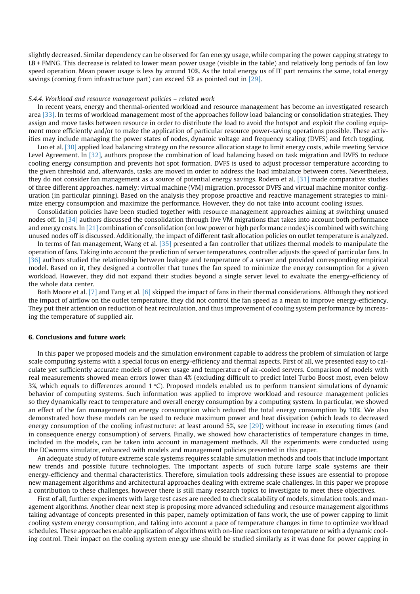slightly decreased. Similar dependency can be observed for fan energy usage, while comparing the power capping strategy to LB + FMNG. This decrease is related to lower mean power usage (visible in the table) and relatively long periods of fan low speed operation. Mean power usage is less by around 10%. As the total energy us of IT part remains the same, total energy savings (coming from infrastructure part) can exceed 5% as pointed out in [29].

#### *5.4.4. Workload and resource management policies – related work*

In recent years, energy and thermal-oriented workload and resource management has become an investigated research area [33]. In terms of workload management most of the approaches follow load balancing or consolidation strategies. They assign and move tasks between resource in order to distribute the load to avoid the hotspot and exploit the cooling equipment more efficiently and/or to make the application of particular resource power-saving operations possible. These activities may include managing the power states of nodes, dynamic voltage and frequency scaling (DVFS) and fetch toggling.

Luo et al. [30] applied load balancing strategy on the resource allocation stage to limit energy costs, while meeting Service Level Agreement. In [32], authors propose the combination of load balancing based on task migration and DVFS to reduce cooling energy consumption and prevents hot spot formation. DVFS is used to adjust processor temperature according to the given threshold and, afterwards, tasks are moved in order to address the load imbalance between cores. Nevertheless, they do not consider fan management as a source of potential energy savings. Rodero et al. [31] made comparative studies of three different approaches, namely: virtual machine (VM) migration, processor DVFS and virtual machine monitor configuration (in particular pinning). Based on the analysis they propose proactive and reactive management strategies to minimize energy consumption and maximize the performance. However, they do not take into account cooling issues.

Consolidation policies have been studied together with resource management approaches aiming at switching unused nodes off. In [34] authors discussed the consolidation through live VM migrations that takes into account both performance and energy costs. In [21] combination of consolidation (on low power or high performance nodes) is combined with switching unused nodes off is discussed. Additionally, the impact of different task allocation policies on outlet temperature is analyzed.

In terms of fan management, Wang et al. [35] presented a fan controller that utilizes thermal models to manipulate the operation of fans. Taking into account the prediction of server temperatures, controller adjusts the speed of particular fans. In [36] authors studied the relationship between leakage and temperature of a server and provided corresponding empirical model. Based on it, they designed a controller that tunes the fan speed to minimize the energy consumption for a given workload. However, they did not expand their studies beyond a single server level to evaluate the energy-efficiency of the whole data center.

Both Moore et al. [7] and Tang et al. [6] skipped the impact of fans in their thermal considerations. Although they noticed the impact of airflow on the outlet temperature, they did not control the fan speed as a mean to improve energy-efficiency. They put their attention on reduction of heat recirculation, and thus improvement of cooling system performance by increasing the temperature of supplied air.

## 6. Conclusions and future work

In this paper we proposed models and the simulation environment capable to address the problem of simulation of large scale computing systems with a special focus on energy-efficiency and thermal aspects. First of all, we presented easy to calculate yet sufficiently accurate models of power usage and temperature of air-cooled servers. Comparison of models with real measurements showed mean errors lower than 4% (excluding difficult to predict Intel Turbo Boost most, even below 3%, which equals to differences around  $1 \text{ }^{\circ}$ C). Proposed models enabled us to perform transient simulations of dynamic behavior of computing systems. Such information was applied to improve workload and resource management policies so they dynamically react to temperature and overall energy consumption by a computing system. In particular, we showed an effect of the fan management on energy consumption which reduced the total energy consumption by 10%. We also demonstrated how these models can be used to reduce maximum power and heat dissipation (which leads to decreased energy consumption of the cooling infrastructure: at least around 5%, see [29]) without increase in executing times (and in consequence energy consumption) of servers. Finally, we showed how characteristics of temperature changes in time, included in the models, can be taken into account in management methods. All the experiments were conducted using the DCworms simulator, enhanced with models and management policies presented in this paper.

An adequate study of future extreme scale systems requires scalable simulation methods and tools that include important new trends and possible future technologies. The important aspects of such future large scale systems are their energy-efficiency and thermal characteristics. Therefore, simulation tools addressing these issues are essential to propose new management algorithms and architectural approaches dealing with extreme scale challenges. In this paper we propose a contribution to these challenges, however there is still many research topics to investigate to meet these objectives.

First of all, further experiments with large test cases are needed to check scalability of models, simulation tools, and management algorithms. Another clear next step is proposing more advanced scheduling and resource management algorithms taking advantage of concepts presented in this paper, namely optimization of fans work, the use of power capping to limit cooling system energy consumption, and taking into account a pace of temperature changes in time to optimize workload schedules. These approaches enable application of algorithms with on-line reactions on temperature or with a dynamic cooling control. Their impact on the cooling system energy use should be studied similarly as it was done for power capping in